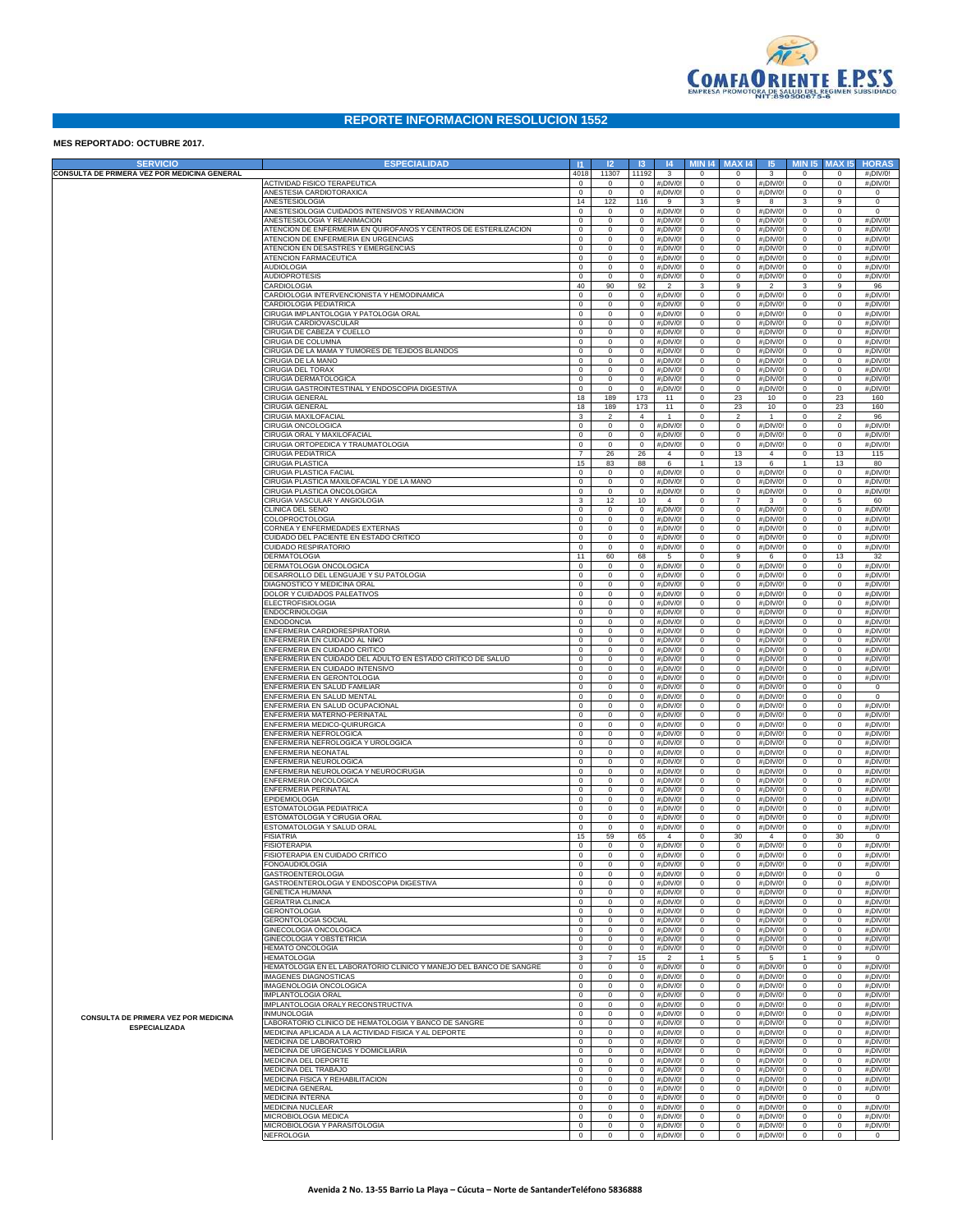

## **REPORTE INFORMACION RESOLUCION 1552**

## **MES REPORTADO: OCTUBRE 2017.**

| <b>SERVICIO</b>                              | <b>ESPECIALIDAD</b>                                                                                     | -11                        | 12                         | $\overline{13}$            | 4                         |                             | <b>MIN 14 MAX 14</b>       | 5                                                  | <b>MIN 15</b>                | <b>MAX15</b>                | <b>HORAS</b>                                       |
|----------------------------------------------|---------------------------------------------------------------------------------------------------------|----------------------------|----------------------------|----------------------------|---------------------------|-----------------------------|----------------------------|----------------------------------------------------|------------------------------|-----------------------------|----------------------------------------------------|
| CONSULTA DE PRIMERA VEZ POR MEDICINA GENERAL |                                                                                                         | 4018                       | 11307                      | 11192                      | $\mathbf{3}$              | $\circ$                     | $^{\circ}$                 | 3                                                  | $^{\circ}$                   | $\circ$                     | #¡DIV/0!                                           |
|                                              | <b>ACTIVIDAD FISICO TERAPEUTICA</b><br>ANESTESIA CARDIOTORAXICA                                         | $\circ$<br>$\mathbf 0$     | $^{\circ}$<br>$^{\circ}$   | $\circ$<br>$\mathbf 0$     | #¡DIV/0<br>#¡DIV/0        | $\circ$<br>$\mathbf 0$      | $\circ$<br>$^{\circ}$      | #¡DIV/0<br>#¡DIV/0                                 | $\mathbf{0}$<br>$\circ$      | $\circ$<br>$\circ$          | #¡DIV/0!<br>$\circ$                                |
|                                              | ANESTESIOLOGIA                                                                                          | 14                         | 122                        | 116                        | 9                         | 3                           | 9                          | 8                                                  | 3                            | 9                           | $\circ$                                            |
|                                              | ANESTESIOLOGIA CUIDADOS INTENSIVOS Y REANIMACION                                                        | $\circ$                    | $^{\circ}$                 | $\circ$                    | #¡DIV/0                   | $\circ$                     | $^{\circ}$                 | #¡DIV/C                                            | $\mathbf{0}$                 | 0                           | $\mathbf 0$                                        |
|                                              | ANESTESIOLOGIA Y REANIMACION                                                                            | $\circ$                    | $^{\circ}$                 | $^{\circ}$                 | #¡DIV/0                   | $\mathbf 0$                 | $^{\circ}$                 | #¡DIV/0                                            | $\mathbf{0}$                 | $\circ$                     | #¡DIV/0!                                           |
|                                              | ATENCION DE ENFERMERIA EN QUIROFANOS Y CENTROS DE ESTERILIZACION<br>ATENCION DE ENFERMERIA EN URGENCIAS | $\mathbf 0$<br>$\mathbf 0$ | $^{\circ}$<br>$^{\circ}$   | $^{\circ}$<br>$^{\circ}$   | #¡DIV/0<br>#¡DIV/0        | $\mathbf 0$<br>$\mathbf 0$  | $^{\circ}$<br>$^{\circ}$   | #¡DIV/0<br>#¡DIV/0                                 | $\mathbf{0}$<br>$\mathbf{0}$ | $\circ$<br>$\circ$          | $#$ <sub>i</sub> DIV/0!<br>$#$ <sub>i</sub> DIV/0! |
|                                              | ATENCION EN DESASTRES Y EMERGENCIAS                                                                     | $\mathsf 0$                | $^{\circ}$                 | $\circ$                    | #¡DIV/0                   | $\mathbb O$                 | $\mathbf 0$                | #¡DIV/0                                            | $\mathbf{0}$                 | $\circ$                     | #¡DIV/0!                                           |
|                                              | ATENCION FARMACEUTICA                                                                                   | $\mathsf 0$                | $\mathbf 0$                | $\mathbf 0$                | #¡DIV/0                   | $\mathbb O$                 | $\mathbf 0$                | #¡DIV/0                                            | $\mathbf{0}$                 | $\circ$                     | #¡DIV/0!                                           |
|                                              | AUDIOLOGIA                                                                                              | $\mathbf 0$<br>$^{\circ}$  | $^{\circ}$<br>$^{\circ}$   | $\circ$<br>$\circ$         | #¡DIV/0                   | $\mathbf 0$                 | $^{\circ}$<br>$\circ$      | #¡DIV/C                                            | $\mathbf{0}$<br>$\circ$      | $\circ$<br>$^{\circ}$       | #¡DIV/0!                                           |
|                                              | AUDIOPROTESIS<br>CARDIOLOGIA                                                                            | 40                         | 90                         | 92                         | #¡DIV/0<br>$\overline{2}$ | $\mathbf 0$<br>$\mathbf{3}$ | 9                          | #¡DIV/C<br>$\overline{2}$                          | 3                            | 9                           | $#$ <sub>i</sub> DIV/0!<br>96                      |
|                                              | CARDIOLOGIA INTERVENCIONISTA Y HEMODINAMICA                                                             | $\mathbf 0$                | $^{\circ}$                 | $\circ$                    | #¡DIV/0                   | $\mathbf 0$                 | $\circ$                    | #¡DIV/C                                            | $\mathbf{0}$                 | $^{\circ}$                  | #¡DIV/0!                                           |
|                                              | CARDIOLOGIA PEDIATRICA                                                                                  | $\mathsf 0$                | $\mathbf 0$                | 0                          | #¡DIV/0                   | $\mathbb O$                 | $\circ$                    | #¡DIV/C                                            | $\mathbf{0}$                 | $^{\circ}$                  | #¡DIV/0!                                           |
|                                              | CIRUGIA IMPLANTOLOGIA Y PATOLOGIA ORAL<br>CIRUGIA CARDIOVASCULAR                                        | $\mathbf 0$<br>$\mathbf 0$ | $^{\circ}$<br>$^{\circ}$   | $\circ$<br>$\circ$         | #¡DIV/0<br>#¡DIV/0        | $\mathbf 0$<br>$\mathbf 0$  | $\circ$<br>$\circ$         | #¡DIV/C<br>#¡DIV/0                                 | $\mathbf{0}$<br>$\mathbf{0}$ | $^{\circ}$<br>$^{\circ}$    | $#$ <sub>i</sub> DIV/0!<br>$#$ <sub>i</sub> DIV/0! |
|                                              | CIRUGIA DE CABEZA Y CUELLO                                                                              | $\mathbf 0$                | $^{\circ}$                 | $\circ$                    | #¡DIV/0                   | $\mathbf 0$                 | $^{\circ}$                 | #¡DIV/0                                            | $\mathbf{0}$                 | $\circ$                     | $#$ <sub>i</sub> DIV/0!                            |
|                                              | CIRUGIA DE COLUMNA                                                                                      | $\mathsf 0$                | $^{\circ}$                 | $\circ$                    | #¡DIV/0                   | $\mathbb O$                 | $\mathbf 0$                | #¡DIV/0                                            | $\mathbf{0}$                 | $\circ$                     | #¡DIV/0!                                           |
|                                              | CIRUGIA DE LA MAMA Y TUMORES DE TEJIDOS BLANDOS<br>CIRUGIA DE LA MANO                                   | $\mathsf 0$<br>$\mathbf 0$ | $\mathbf 0$<br>$^{\circ}$  | $\mathbf 0$<br>$\circ$     | #¡DIV/0<br>#¡DIV/0        | $\mathbf 0$<br>$\mathbf 0$  | $\mathbf 0$<br>$\mathbf 0$ | #¡DIV/0<br>#¡DIV/0                                 | $\mathbf{0}$<br>$\mathbf{0}$ | $\circ$<br>$\circ$          | #¡DIV/0!<br>#¡DIV/0!                               |
|                                              | CIRUGIA DEL TORAX                                                                                       | $\mathbf 0$                | $^{\circ}$                 | $\circ$                    | #¡DIV/0                   | $\mathbf 0$                 | $^{\circ}$                 | #¡DIV/0                                            | $\mathbf{0}$                 | $^{\circ}$                  | #¡DIV/0!                                           |
|                                              | CIRUGIA DERMATOLOGICA                                                                                   | $\mathbf 0$                | $^{\circ}$                 | $\circ$                    | #¡DIV/0                   | $\mathbf 0$                 | $\circ$                    | #¡DIV/0                                            | $\mathbf{0}$                 | $^{\circ}$                  | $#$ <sub>i</sub> DIV/0!                            |
|                                              | CIRUGIA GASTROINTESTINAL Y ENDOSCOPIA DIGESTIVA                                                         | $\mathbf 0$                | $^{\circ}$                 | $\circ$                    | #¡DIV/0                   | $\mathbb O$                 | $\mathbf 0$                | #¡DIV/0                                            | $\mathbf{0}$                 | $^{\circ}$                  | #¡DIV/0!                                           |
|                                              | CIRUGIA GENERAL<br>CIRUGIA GENERAL                                                                      | 18<br>18                   | 189<br>189                 | 173<br>173                 | 11<br>11                  | $\mathbf 0$<br>$\mathbf 0$  | 23<br>23                   | 10<br>10                                           | $\mathbf{0}$<br>$\mathbf{0}$ | 23<br>23                    | 160<br>160                                         |
|                                              | CIRUGIA MAXILOFACIAL                                                                                    | 3                          | $\overline{2}$             | $\overline{4}$             | $\overline{1}$            | $\mathbf 0$                 | $\overline{2}$             | $\overline{1}$                                     | $\mathbf{0}$                 | $\overline{2}$              | 96                                                 |
|                                              | CIRUGIA ONCOLOGICA                                                                                      | $\circ$                    | $\mathbf 0$                | $^{\circ}$                 | #¡DIV/0                   | $\mathbf 0$                 | $\mathbf 0$                | #¡DIV/C                                            | $\mathbf{0}$                 | $\mathbf 0$                 | #¡DIV/0!                                           |
|                                              | CIRUGIA ORAL Y MAXILOFACIAL<br>CIRUGIA ORTOPEDICA Y TRAUMATOLOGIA                                       | $\circ$<br>$\circ$         | $\mathbf 0$<br>$\mathbf 0$ | 0<br>0                     | #¡DIV/0<br>#¡DIV/0        | $\mathbb O$<br>$\mathbb O$  | $\circ$<br>$\circ$         | #¡DIV/0<br>#¡DIV/0                                 | $\mathbf{0}$<br>$\mathbf{0}$ | $\mathbf 0$<br>$^{\circ}$   | #¡DIV/0!<br>#¡DIV/0!                               |
|                                              | CIRUGIA PEDIATRICA                                                                                      | $\overline{7}$             | 26                         | 26                         | $\overline{4}$            | $\mathbf{0}$                | 13                         | $\overline{4}$                                     | $\mathbf{0}$                 | 13                          | 115                                                |
|                                              | CIRUGIA PLASTICA                                                                                        | 15                         | 83                         | 88                         | 6                         | $\overline{1}$              | 13                         | 6                                                  | $\mathbf{1}$                 | 13                          | 80                                                 |
|                                              | CIRUGIA PLASTICA FACIAL<br>CIRUGIA PLASTICA MAXILOFACIAL Y DE LA MANO                                   | $\circ$<br>$\mathsf 0$     | $\circ$<br>$\mathbf 0$     | $\circ$<br>0               | #¡DIV/C<br>#¡DIV/0        | $\mathbf{0}$<br>$\mathbb O$ | 0<br>$^{\circ}$            | #¡DIV/C<br>#¡DIV/C                                 | $\mathbf{0}$<br>$\mathbf{0}$ | $\circ$<br>$\circ$          | #¡DIV/0!<br>#¡DIV/0!                               |
|                                              | CIRUGIA PLASTICA ONCOLOGICA                                                                             | $\circ$                    | $\mathbf 0$                | $\mathbf 0$                | #¡DIV/0                   | $\mathbf 0$                 | $^{\circ}$                 | #¡DIV/C                                            | $\mathbf{0}$                 | $\mathbf 0$                 | #¡DIV/0!                                           |
|                                              | CIRUGIA VASCULAR Y ANGIOLOGIA                                                                           | 3                          | 12                         | 10                         | $\overline{4}$            | $\mathbf 0$                 | $\overline{7}$             | 3                                                  | $\mathbf{0}$                 | 5                           | 60                                                 |
|                                              | CLINICA DEL SENO                                                                                        | $\circ$                    | $\circ$                    | $\circ$                    | #¡DIV/0                   | $\mathbf 0$                 | $^{\circ}$                 | #¡DIV/C                                            | $\mathbf{0}$                 | $\circ$                     | #¡DIV/0!                                           |
|                                              | COLOPROCTOLOGIA<br>CORNEA Y ENFERMEDADES EXTERNAS                                                       | $\circ$<br>$\mathsf 0$     | $^{\circ}$<br>$\mathbf 0$  | $^{\circ}$<br>$\mathbf 0$  | #¡DIV/0<br>#¡DIV/0        | $\mathbf 0$<br>$\mathbb O$  | $^{\circ}$<br>$\mathbf 0$  | #¡DIV/C<br>#¡DIV/0                                 | $\mathbf{0}$<br>$\mathbf{0}$ | $^{\circ}$<br>$^{\circ}$    | #¡DIV/0!<br>#¡DIV/0!                               |
|                                              | CUIDADO DEL PACIENTE EN ESTADO CRITICO                                                                  | $\circ$                    | $\mathbf 0$                | $\mathbf 0$                | #¡DIV/0                   | $\mathbb O$                 | $\mathbf 0$                | #¡DIV/0                                            | $\mathbf{0}$                 | $^{\circ}$                  | #¡DIV/0!                                           |
|                                              | CUIDADO RESPIRATORIO                                                                                    | $\mathbf 0$                | $^{\circ}$                 | $\circ$                    | #¡DIV/0                   | $\mathbf 0$                 | $\circ$                    | #¡DIV/C                                            | $\mathbf{0}$                 | $^{\circ}$                  | #¡DIV/0!                                           |
|                                              | DERMATOLOGIA<br>DERMATOLOGIA ONCOLOGICA                                                                 | 11<br>$\circ$              | 60<br>$^{\circ}$           | 68<br>$\circ$              | 5<br>#¡DIV/0              | $\mathbf 0$<br>$\mathbf 0$  | 9                          | 6<br>#¡DIV/C                                       | $\mathbf{0}$<br>$\mathbf{0}$ | 13<br>$^{\circ}$            | 32<br>#¡DIV/0!                                     |
|                                              | DESARROLLO DEL LENGUAJE Y SU PATOLOGIA                                                                  | $\circ$                    | $\mathbf 0$                | 0                          | #¡DIV/0                   | $\mathbb O$                 | 0<br>$\circ$               | #¡DIV/0                                            | $\mathbf{0}$                 | $^{\circ}$                  | #¡DIV/0!                                           |
|                                              | DIAGNOSTICO Y MEDICINA ORAL                                                                             | $\mathsf 0$                | $\mathbf 0$                | $\mathbf 0$                | #¡DIV/0                   | $\circ$                     | $\mathbf 0$                | #¡DIV/0                                            | $\mathbf{0}$                 | $^{\circ}$                  | #¡DIV/0!                                           |
|                                              | DOLOR Y CUIDADOS PALEATIVOS                                                                             | $\circ$                    | $^{\circ}$                 | $\circ$                    | #¡DIV/0                   | $\mathbf 0$                 | $^{\circ}$                 | #¡DIV/0                                            | $\mathbf{0}$                 | $^{\circ}$                  | #¡DIV/0!                                           |
|                                              | <b>ELECTROFISIOLOGIA</b><br><b>ENDOCRINOLOGIA</b>                                                       | $^{\circ}$<br>$\circ$      | $^{\circ}$<br>$^{\circ}$   | $\circ$<br>$\circ$         | #¡DIV/0<br>#¡DIV/0        | $\mathbf 0$<br>$\mathbf 0$  | $^{\circ}$<br>$^{\circ}$   | #¡DIV/0<br>#¡DIV/0                                 | $\mathbf{0}$<br>$\mathbf{0}$ | $^{\circ}$<br>$^{\circ}$    | #¡DIV/0!<br>$#$ <sub>i</sub> DIV/0!                |
|                                              | ENDODONCIA                                                                                              | $\mathsf 0$                | $^{\circ}$                 | $\circ$                    | #¡DIV/0                   | $\mathbb O$                 | $\mathbf 0$                | #¡DIV/0                                            | $\mathbf{0}$                 | $^{\circ}$                  | #¡DIV/0!                                           |
|                                              | ENFERMERIA CARDIORESPIRATORIA                                                                           | $\mathsf 0$                | $\mathbf 0$                | $\mathbf 0$                | #¡DIV/0                   | $\mathbf 0$                 | $\mathbf 0$                | #¡DIV/0                                            | $\mathbf{0}$                 | $^{\circ}$                  | #¡DIV/0!                                           |
|                                              | <b>INFERMERIA EN CUIDADO AL NI¥O</b><br>ENFERMERIA EN CUIDADO CRITICO                                   | $\circ$<br>$\circ$         | $^{\circ}$<br>$^{\circ}$   | $\circ$<br>$\circ$         | #¡DIV/0<br>#¡DIV/0        | $\mathbf 0$<br>$\mathbf 0$  | $^{\circ}$<br>$^{\circ}$   | #¡DIV/C<br>#¡DIV/0                                 | $\mathbf{0}$<br>$\mathbf{0}$ | $^{\circ}$<br>$\circ$       | #¡DIV/0!<br>$#$ <sub>i</sub> DIV/0!                |
|                                              | ENFERMERIA EN CUIDADO DEL ADULTO EN ESTADO CRITICO DE SALUD                                             | $\circ$                    | $^{\circ}$                 | $^{\circ}$                 | #¡DIV/0                   | $\mathbf 0$                 | $^{\circ}$                 | #¡DIV/0                                            | $\mathbf{0}$                 | $\circ$                     | $#$ <sub>i</sub> DIV/0!                            |
|                                              | ENFERMERIA EN CUIDADO INTENSIVO                                                                         | $\mathsf 0$                | $\mathbf 0$                | $\circ$                    | #¡DIV/0                   | $\mathbb O$                 | $\mathbf 0$                | #¡DIV/0                                            | $\mathbf{0}$                 | $\circ$                     | #¡DIV/0!                                           |
|                                              | ENFERMERIA EN GERONTOLOGIA                                                                              | $\mathsf 0$                | $\mathbf 0$                | $\mathbf 0$                | #¡DIV/0                   | $\mathbf 0$                 | $\mathbf 0$                | #¡DIV/0                                            | $\mathbf{0}$                 | $\mathbf 0$                 | #¡DIV/0!                                           |
|                                              | ENFERMERIA EN SALUD FAMILIAR<br>ENFERMERIA EN SALUD MENTAL                                              | $\mathsf 0$<br>$^{\circ}$  | $^{\circ}$<br>$^{\circ}$   | $\circ$<br>$\circ$         | #¡DIV/0<br>#¡DIV/0        | $\mathbf 0$<br>$\mathbf 0$  | $^{\circ}$<br>$^{\circ}$   | #¡DIV/0<br>#¡DIV/0                                 | $\mathbf{0}$<br>$\mathbf{0}$ | $\circ$<br>$\circ$          | $\mathbf{0}$<br>$\mathbf{0}$                       |
|                                              | ENFERMERIA EN SALUD OCUPACIONAL                                                                         | $\circ$                    | $^{\circ}$                 | $\circ$                    | #¡DIV/0                   | $\mathbf 0$                 | $^{\circ}$                 | #¡DIV/0                                            | $\mathbf{0}$                 | $\circ$                     | #¡DIV/0!                                           |
|                                              | ENFERMERIA MATERNO-PERINATAL                                                                            | $\mathsf 0$                | $^{\circ}$                 | $\circ$                    | #¡DIV/0                   | $\mathbb O$                 | $\mathbf 0$                | #¡DIV/0                                            | $\mathbf{0}$                 | $\circ$                     | #¡DIV/0!                                           |
|                                              | ENFERMERIA MEDICO-QUIRURGICA<br><b>ENFERMERIA NEFROLOGICA</b>                                           | $\mathsf 0$<br>$\circ$     | $\mathbf 0$<br>$^{\circ}$  | $\mathbf 0$<br>$\circ$     | #¡DIV/0<br>#¡DIV/0        | $\mathbf 0$<br>$\mathbf 0$  | $\mathbf 0$<br>$\mathbf 0$ | #¡DIV/C<br>#¡DIV/C                                 | $\mathbf{0}$<br>$\mathbf{0}$ | $\circ$<br>$\circ$          | #¡DIV/0!<br>#¡DIV/0!                               |
|                                              | ENFERMERIA NEFROLOGICA Y UROLOGICA                                                                      | $\circ$                    | $^{\circ}$                 | $\circ$                    | #¡DIV/0                   | $\mathbf 0$                 | $^{\circ}$                 | #¡DIV/0                                            | $\mathbf{0}$                 | $\circ$                     | $#$ <sub>i</sub> DIV/0!                            |
|                                              | ENFERMERIA NEONATAL                                                                                     | $\circ$                    | $^{\circ}$                 | $^{\circ}$                 | #¡DIV/0                   | $\mathbf 0$                 | $^{\circ}$                 | #¡DIV/0                                            | $\mathbf{0}$                 | $\circ$                     | $#$ <sub>i</sub> DIV/0!                            |
|                                              | ENFERMERIA NEUROLOGICA                                                                                  | $\mathsf 0$<br>$\mathsf 0$ | $^{\circ}$<br>$\mathbf 0$  | $\circ$<br>$\mathbf 0$     | #¡DIV/0                   | $\mathbb O$<br>$\mathbf 0$  | $\mathbf 0$<br>$\mathbf 0$ | #¡DIV/0                                            | $\mathbf{0}$<br>$\mathbf{0}$ | $\circ$<br>$\circ$          | #¡DIV/0!                                           |
|                                              | ENFERMERIA NEUROLOGICA Y NEUROCIRUGIA<br>ENFERMERIA ONCOLOGICA                                          | $^{\circ}$                 | $^{\circ}$                 | $\circ$                    | #¡DIV/0<br>#¡DIV/0        | $\circ$                     | $\mathbf 0$                | #¡DIV/C<br>#¡DIV/C                                 | $\mathbf{0}$                 | $\circ$                     | #¡DIV/0!<br>#¡DIV/0!                               |
|                                              | <b>ENFERMERIA PERINATAL</b>                                                                             | $^{\circ}$                 | $^{\circ}$                 | $\circ$                    | #¡DIV/0                   | $\mathbf 0$                 | $\circ$                    | #¡DIV/0                                            | $\mathbf{0}$                 | $^{\circ}$                  | #¡DIV/0!                                           |
|                                              | PIDEMIOLOGIA<br>STOMATOLOGIA PEDIATRICA                                                                 | $^{\circ}$<br>$\mathbf 0$  | $^{\circ}$<br>$^{\circ}$   | $\circ$<br>$\mathbf 0$     | #¡DIV/0                   | $\circ$<br>$\mathbf 0$      | $\mathbf 0$<br>$\mathbf 0$ | #¡DIV/0                                            | $\mathbf{0}$<br>$^{\circ}$   | $^{\circ}$<br>$^{\circ}$    | $#$ <sub>i</sub> DIV/0!                            |
|                                              | STOMATOLOGIA Y CIRUGIA ORAL                                                                             | $\mathbf 0$                | $^{\circ}$                 | $\mathbf 0$                | #¡DIV/0<br>#¡DIV/0        | $\mathbf 0$                 | $\mathbf 0$                | #¡DIV/0<br>#¡DIV/C                                 | $^{\circ}$                   | $^{\circ}$                  | #¡DIV/0!<br>#¡DIV/0!                               |
|                                              | STOMATOLOGIA Y SALUD ORAL                                                                               | $\mathbf 0$                | $^{\circ}$                 | $\mathbf 0$                | #¡DIV/0                   | $\mathbf{0}$                | $\mathbf 0$                | #¡DIV/C                                            | $^{\circ}$                   | $^{\circ}$                  | #¡DIV/0!                                           |
|                                              | <b>ISIATRIA</b>                                                                                         | 15                         | 59                         | 65                         | $\overline{4}$            | $\mathbf{0}$                | 30                         | $\overline{4}$                                     | $\mathbf{0}$                 | 30                          | $\mathbf{0}$                                       |
|                                              | <b>FISIOTERAPIA</b><br>ISIOTERAPIA EN CUIDADO CRITICO                                                   | $\circ$<br>$\mathbf 0$     | $\circ$                    | $\circ$<br>$\mathbf 0$     | #¡DIV/0<br>#¡DIV/0!       | $\mathbf 0$                 | $\circ$                    | #¡DIV/0!<br>$#i$ DIV/0                             | $\mathbf{0}$                 | $^{\circ}$                  | #¡DIV/0!<br>#iDIV/0!                               |
|                                              | ONOAUDIOLOGIA                                                                                           | $\mathbf 0$                | $^{\circ}$                 | $\mathbf{0}$               | #¡DIV/0                   | $\mathbf{0}$                | $\circ$                    | $#$ <sub>i</sub> DIV/0!                            | $\circ$                      | $\mathbf 0$                 | $#$ <sub>i</sub> DIV/0!                            |
|                                              | GASTROENTEROLOGIA                                                                                       | $\mathbf 0$                | $\circ$                    | $\mathbf{0}$               | #¡DIV/0                   | $^{\circ}$                  | $\circ$                    | $#$ <sub>i</sub> DIV/0!                            | $\circ$                      | $\circ$                     | $\mathbf{0}$                                       |
|                                              | GASTROENTEROLOGIA Y ENDOSCOPIA DIGESTIVA<br><b>GENETICA HUMANA</b>                                      | $\mathbf 0$<br>$\mathbf 0$ | $\mathbf 0$<br>$\mathbf 0$ | $\mathbf{0}$<br>$\circ$    | #¡DIV/0!<br>#¡DIV/0       | $\circ$<br>$\circ$          | $\circ$<br>$\circ$         | $#$ <sub>i</sub> DIV/0!<br>$#$ <sub>i</sub> DIV/0! | $\mathbf{0}$<br>$\mathbf{0}$ | $\mathbf{0}$<br>$\mathbf 0$ | #¡DIV/0!<br>#¡DIV/0!                               |
|                                              | <b>GERIATRIA CLINICA</b>                                                                                | $\mathbf 0$                | $\mathbf 0$                | $\circ$                    | #¡DIV/0                   | $\mathbf 0$                 | $\circ$                    | $#$ <sub>i</sub> DIV/0!                            | $\mathsf 0$                  | $\mathbf 0$                 | #¡DIV/0!                                           |
|                                              | GERONTOLOGIA                                                                                            | $\mathbf 0$                | $\mathbf 0$                | $\mathbf 0$                | #¡DIV/0                   | $\circ$                     | $\circ$                    | $#$ <sub>i</sub> DIV/0!                            | $\mathsf 0$                  | $\mathbf 0$                 | #¡DIV/0!                                           |
|                                              | <b>GERONTOLOGIA SOCIAL</b><br>GINECOLOGIA ONCOLOGICA                                                    | $\mathbf 0$<br>$\mathbf 0$ | $\mathbf 0$<br>$\mathbf 0$ | $\mathbf 0$<br>$\mathbf 0$ | #¡DIV/0!                  | $\circ$<br>$\circ$          | $^{\circ}$<br>$\mathbf{0}$ | $#$ <sub>i</sub> DIV/0!                            | $\mathbf{0}$<br>$\mathbf{0}$ | $\mathbf 0$<br>$\mathbf{0}$ | #¡DIV/0!                                           |
|                                              | GINECOLOGIA Y OBSTETRICIA                                                                               | $\mathbf 0$                | $\mathbf 0$                | $\mathbf 0$                | #¡DIV/0<br>#¡DIV/0        | $\circ$                     | $\mathbf{0}$               | $#$ <sub>i</sub> DIV/0!<br>$#$ <sub>i</sub> DIV/0! | $\circ$                      | $\mathbf 0$                 | #¡DIV/0!<br>#¡DIV/0!                               |
|                                              | <b>HEMATO ONCOLOGIA</b>                                                                                 | $\mathbf 0$                | $\mathbf 0$                | $\mathbf 0$                | #¡DIV/0                   | $\circ$                     | $\circ$                    | $#$ <sub>i</sub> DIV/0!                            | $\mathsf 0$                  | $\mathbf 0$                 | #¡DIV/0!                                           |
|                                              | <b>HEMATOLOGIA</b>                                                                                      | 3                          | $\overline{7}$             | 15                         | $\overline{2}$            | $\overline{1}$              | 5                          | $\sqrt{5}$                                         | $\mathbf{1}$                 | 9                           | $\circ$                                            |
|                                              | HEMATOLOGIA EN EL LABORATORIO CLINICO Y MANEJO DEL BANCO DE SANGRE<br><b>MAGENES DIAGNOSTICAS</b>       | $\mathbf 0$<br>$\mathbf 0$ | $\mathbf 0$<br>$\mathbf 0$ | $\circ$<br>$\mathbf{0}$    | #¡DIV/0!<br>#¡DIV/0!      | $\circ$<br>$\circ$          | $^{\circ}$<br>$^{\circ}$   | $#$ <sub>i</sub> DIV/0!<br>$#$ <sub>i</sub> DIV/0! | $\mathbf{0}$<br>$\mathbf{0}$ | $\mathbf 0$<br>$\circ$      | #¡DIV/0!<br>#¡DIV/0!                               |
|                                              | <b>IMAGENOLOGIA ONCOLOGICA</b>                                                                          | $\mathbf 0$                | $\mathbf 0$                | $\circ$                    | #¡DIV/0!                  | $\circ$                     | $^{\circ}$                 | $#$ <sub>i</sub> DIV/0!                            | $\circ$                      | $\mathbf 0$                 | #¡DIV/0!                                           |
|                                              | <b>IMPLANTOLOGIA ORAL</b>                                                                               | $\mathbf 0$                | $\mathbf 0$                | $\mathbf 0$                | #¡DIV/0                   | $\mathbf 0$                 | $\circ$                    | $#$ <sub>i</sub> DIV/0!                            | $\mathsf 0$                  | $\mathbf 0$                 | #¡DIV/0!                                           |
|                                              | IMPLANTOLOGIA ORALY RECONSTRUCTIVA<br><b>INMUNOLOGIA</b>                                                | $\mathbf 0$<br>$\mathbf 0$ | $\mathbf 0$<br>$\mathbf 0$ | $\mathbf 0$<br>$\mathbf 0$ | #¡DIV/0<br>#¡DIV/0        | $\circ$<br>$\circ$          | $\circ$<br>$^{\circ}$      | $#$ <sub>i</sub> DIV/0!<br>$#$ <sub>i</sub> DIV/0! | $\mathsf 0$<br>$\mathbf{0}$  | $\mathbf 0$<br>$\mathbf 0$  | #¡DIV/0!<br>#¡DIV/0!                               |
| CONSULTA DE PRIMERA VEZ POR MEDICINA         | ABORATORIO CLINICO DE HEMATOLOGIA Y BANCO DE SANGRE                                                     | $\mathbf 0$                | $\mathbf 0$                | $\circ$                    | #¡DIV/0!                  | $\circ$                     | $^{\circ}$                 | $#$ <sub>i</sub> DIV/0!                            | $\mathbf{0}$                 | $\mathbf{0}$                | #¡DIV/0!                                           |
| <b>ESPECIALIZADA</b>                         | MEDICINA APLICADA A LA ACTIVIDAD FISICA Y AL DEPORTE                                                    | $\mathbf 0$                | $\mathbf 0$                | $\circ$                    | #¡DIV/0                   | $\circ$                     | $\circ$                    | $#$ <sub>i</sub> DIV/0!                            | $\circ$                      | $\mathbf 0$                 | #¡DIV/0!                                           |
|                                              | MEDICINA DE LABORATORIO<br>MEDICINA DE URGENCIAS Y DOMICILIARIA                                         | $\mathbf 0$<br>$\mathbf 0$ | $\mathbf 0$<br>$\mathbf 0$ | $\mathbf 0$<br>$\mathbf 0$ | #¡DIV/0                   | $\mathbf 0$<br>$\circ$      | $\circ$<br>$\circ$         | $#$ <sub>i</sub> DIV/0!                            | $\mathsf 0$<br>$\mathsf 0$   | $\mathbf 0$<br>$\mathbf 0$  | #¡DIV/0!<br>#¡DIV/0!                               |
|                                              | MEDICINA DEL DEPORTE                                                                                    | $\mathbf 0$                | $\mathbf 0$                | $\mathbf 0$                | #¡DIV/0<br>#¡DIV/0        | $\circ$                     | $\circ$                    | $#$ <sub>i</sub> DIV/0!<br>$#$ <sub>i</sub> DIV/0! | $\mathbf{0}$                 | $\circ$                     | #¡DIV/0!                                           |
|                                              | MEDICINA DEL TRABAJO                                                                                    | $\mathbf 0$                | $\mathbf 0$                | $\circ$                    | #¡DIV/0!                  | $\circ$                     | $\circ$                    | $#$ <sub>i</sub> DIV/0!                            | $\mathbf{0}$                 | $\circ$                     | #¡DIV/0!                                           |
|                                              | MEDICINA FISICA Y REHABILITACION                                                                        | $\mathbf 0$                | $\mathbf 0$                | $\mathbf 0$                | #¡DIV/0                   | $\circ$                     | $\circ$                    | $#$ <sub>i</sub> DIV/0!                            | $\circ$                      | $\mathbf 0$                 | #¡DIV/0!                                           |
|                                              | MEDICINA GENERAL<br><b>MEDICINA INTERNA</b>                                                             | $\mathbf 0$<br>$\circ$     | $\mathbf 0$<br>$\mathbf 0$ | $\mathbf 0$<br>$\circ$     | #¡DIV/0<br>#¡DIV/0!       | $\mathbf 0$<br>$\circ$      | $\circ$<br>$\circ$         | $#$ <sub>i</sub> DIV/0!<br>$#$ <sub>i</sub> DIV/0! | $\mathsf 0$<br>$\mathsf 0$   | $\mathbf 0$<br>$\mathbf 0$  | #¡DIV/0!<br>$\circ$                                |
|                                              | MEDICINA NUCLEAR                                                                                        | $\circ$                    | $\mathbf 0$                | $\circ$                    | #¡DIV/0!                  | $\circ$                     | $\circ$                    | $#$ <sub>i</sub> DIV/0!                            | $\circ$                      | $\mathbf 0$                 | #¡DIV/0!                                           |
|                                              | MICROBIOLOGIA MEDICA                                                                                    | $\circ$                    | $\circ$                    | $\circ$                    | #¡DIV/0!                  | $\circ$                     | $\circ$                    | $#$ <sub>i</sub> DIV/0!                            | $\circ$                      | $\mathbf 0$                 | #¡DIV/0!                                           |
|                                              | MICROBIOLOGIA Y PARASITOLOGIA                                                                           | $\circ$<br>$\mathsf 0$     | $\mathbf 0$<br>$^{\circ}$  | $\circ$                    | #¡DIV/0!                  | $\circ$<br>$\mathbf 0$      | $\circ$<br>$\circ$         | $#$ <sub>i</sub> DIV/0!                            | $\mathsf 0$<br>$\mathbf{0}$  | $\circ$<br>0                | #¡DIV/0!                                           |
|                                              | NEFROLOGIA                                                                                              |                            |                            | $\mathbf 0$                | #¡DIV/0!                  |                             |                            | $#$ <sub>i</sub> DIV/0!                            |                              |                             | $\overline{0}$                                     |